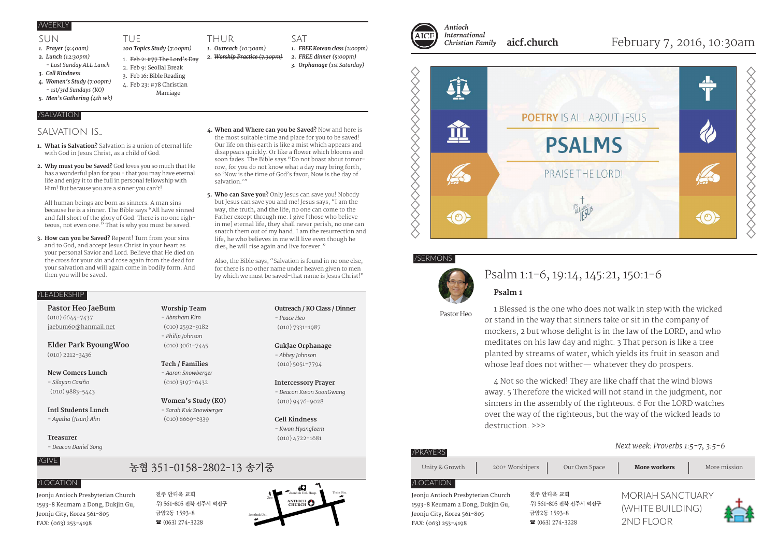### /WEEKLY

### SUN

- *1. Prayer (9:40am)*
- *2. Lunch (12:30pm) - Last Sunday ALL Lunch*
- *3. Cell Kindness*
- *4. Women's Study (7:00pm)*
- *1st/3rd Sundays (KO)*
- *5. Men's Gathering (4th wk)*

### /SALVATION

### SAIVATION IS

**1. What is Salvation?** Salvation is a union of eternal life with God in Jesus Christ, as a child of God.

TUE

*100 Topics Study* **(***7:00pm)* 1. Feb 2: #77 The Lord's Day 2. Feb 9: Seollal Break 3. Feb 16: Bible Reading 4. Feb 23: #78 Christian Marriage

THUR *1. Outreach (10:30am) 2. Worship Practice (7:30pm)*

**2. Why must you be Saved?** God loves you so much that He has a wonderful plan for you - that you may have eternal life and enjoy it to the full in personal fellowship with Him! But because you are a sinner you can't!

All human beings are born as sinners. A man sins because he is a sinner. The Bible says "All have sinned and fall short of the glory of God. There is no one righteous, not even one." That is why you must be saved.

- **3. How can you be Saved?** Repent! Turn from your sins and to God, and accept Jesus Christ in your heart as your personal Savior and Lord. Believe that He died on the cross for your sin and rose again from the dead for your salvation and will again come in bodily form. And then you will be saved.
- **4. When and Where can you be Saved?** Now and here is the most suitable time and place for you to be saved! Our life on this earth is like a mist which appears and disappears quickly. Or like a flower which blooms and soon fades. The Bible says "Do not boast about tomorrow, for you do not know what a day may bring forth, so 'Now is the time of God's favor, Now is the day of salvation."

SAT

*1. FREE Korean class (2:00pm) 2. FREE dinner (5:00pm) 3. Orphanage (1st Saturday)*

**5. Who can Save you?** Only Jesus can save you! Nobody but Jesus can save you and me! Jesus says, "I am the way, the truth, and the life, no one can come to the Father except through me. I give [those who believe in me] eternal life, they shall never perish, no one can snatch them out of my hand. I am the resurrection and life, he who believes in me will live even though he dies, he will rise again and live forever."

Also, the Bible says, "Salvation is found in no one else, for there is no other name under heaven given to men by which we must be saved-that name is Jesus Christ!"

> *- Peace Heo* (010) 7331-1987

**GukJae Orphanage** *- Abbey Johnson* (010) 5051-7794

**Intercessory Prayer** *- Deacon Kwon SoonGwang* (010) 9476-9028

**Cell Kindness** *- Kwon Hyangleem* (010) 4722-1681

**Outreach / KO Class / Dinner**

### /LEADERSHIP

**Pastor Heo JaeBum** (010) 6644-7437 jaebum60@hanmail.net

**Elder Park ByoungWoo** (010) 2212-3436

**New Comers Lunch** *- Silayan Casiño*

### (010) 9883-5443 **Intl Students Lunch**

*- Agatha (Jisun) Ahn*

#### **Treasurer**

*- Deacon Daniel Song*

### /GIVE

Jeonju Antioch Presbyterian Church 1593-8 Keumam 2 Dong, Dukjin Gu, Jeonju City, Korea 561-805 FAX: (063) 253-4198

**Worship Team** *- Abraham Kim* (010) 2592-9182 *- Philip Johnson* (010) 3061-7445

**Tech / Families** *- Aaron Snowberger* (010) 5197-6432

### *- Sarah Kuk Snowberger* (010) 8669-6339

전주 안디옥 교회

금암2동 1593-8  $(063)$  274-3228

우) 561-805 전북 전주시 덕진구

# **Women's Study (KO)**





#### *International Christian Family* **aicf.church**

### February 7, 2016, 10:30am



### /SERMONS

FAX: (063) 253-4198



### Psalm 1:1-6, 19:14, 145:21, 150:1-6

1 Blessed is the one who does not walk in step with the wicked or stand in the way that sinners take or sit in the company of mockers, 2 but whose delight is in the law of the LORD, and who meditates on his law day and night. 3 That person is like a tree planted by streams of water, which yields its fruit in season and whose leaf does not wither— whatever they do prospers.

4 Not so the wicked! They are like chaff that the wind blows away. 5 Therefore the wicked will not stand in the judgment, nor sinners in the assembly of the righteous. 6 For the LORD watches over the way of the righteous, but the way of the wicked leads to destruction. >>>

2ND FLOOR

#### *Next week: Proverbs 1:5-7, 3:5-6* Jeonju Antioch Presbyterian Church 1593-8 Keumam 2 Dong, Dukjin Gu, Jeonju City, Korea 561-805 전주 안디옥 교회 우) 561-805 전북 전주시 덕진구 금암2동 1593-8 MORIAH SANCTUARY (WHITE BUILDING) Unity & Growth 200+ Worshipers Our Own Space **More workers** More mission /PRAYERS

 $(063)$  274-3228



**XXXXXXX** 



**Psalm 1**